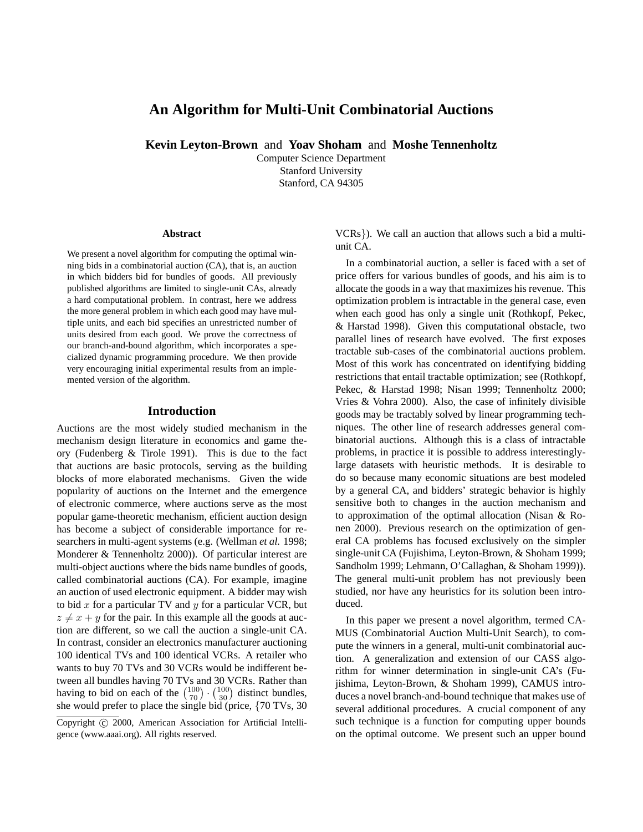# **An Algorithm for Multi-Unit Combinatorial Auctions**

**Kevin Leyton-Brown** and **Yoav Shoham** and **Moshe Tennenholtz**

Computer Science Department Stanford University Stanford, CA 94305

#### **Abstract**

We present a novel algorithm for computing the optimal winning bids in a combinatorial auction (CA), that is, an auction in which bidders bid for bundles of goods. All previously published algorithms are limited to single-unit CAs, already a hard computational problem. In contrast, here we address the more general problem in which each good may have multiple units, and each bid specifies an unrestricted number of units desired from each good. We prove the correctness of our branch-and-bound algorithm, which incorporates a specialized dynamic programming procedure. We then provide very encouraging initial experimental results from an implemented version of the algorithm.

## **Introduction**

Auctions are the most widely studied mechanism in the mechanism design literature in economics and game theory (Fudenberg & Tirole 1991). This is due to the fact that auctions are basic protocols, serving as the building blocks of more elaborated mechanisms. Given the wide popularity of auctions on the Internet and the emergence of electronic commerce, where auctions serve as the most popular game-theoretic mechanism, efficient auction design has become a subject of considerable importance for researchers in multi-agent systems (e.g. (Wellman *et al.* 1998; Monderer & Tennenholtz 2000)). Of particular interest are multi-object auctions where the bids name bundles of goods, called combinatorial auctions (CA). For example, imagine an auction of used electronic equipment. A bidder may wish to bid  $x$  for a particular TV and  $y$  for a particular VCR, but  $z \neq x + y$  for the pair. In this example all the goods at auction are different, so we call the auction a single-unit CA. In contrast, consider an electronics manufacturer auctioning 100 identical TVs and 100 identical VCRs. A retailer who wants to buy 70 TVs and 30 VCRs would be indifferent between all bundles having 70 TVs and 30 VCRs. Rather than having to bid on each of the  $\binom{100}{70} \cdot \binom{100}{30}$  distinct bundles, she would prefer to place the single bid (price, {70 TVs, 30

VCRs}). We call an auction that allows such a bid a multiunit CA.

In a combinatorial auction, a seller is faced with a set of price offers for various bundles of goods, and his aim is to allocate the goods in a way that maximizes his revenue. This optimization problem is intractable in the general case, even when each good has only a single unit (Rothkopf, Pekec, & Harstad 1998). Given this computational obstacle, two parallel lines of research have evolved. The first exposes tractable sub-cases of the combinatorial auctions problem. Most of this work has concentrated on identifying bidding restrictions that entail tractable optimization; see (Rothkopf, Pekec, & Harstad 1998; Nisan 1999; Tennenholtz 2000; Vries & Vohra 2000). Also, the case of infinitely divisible goods may be tractably solved by linear programming techniques. The other line of research addresses general combinatorial auctions. Although this is a class of intractable problems, in practice it is possible to address interestinglylarge datasets with heuristic methods. It is desirable to do so because many economic situations are best modeled by a general CA, and bidders' strategic behavior is highly sensitive both to changes in the auction mechanism and to approximation of the optimal allocation (Nisan & Ronen 2000). Previous research on the optimization of general CA problems has focused exclusively on the simpler single-unit CA (Fujishima, Leyton-Brown, & Shoham 1999; Sandholm 1999; Lehmann, O'Callaghan, & Shoham 1999)). The general multi-unit problem has not previously been studied, nor have any heuristics for its solution been introduced.

In this paper we present a novel algorithm, termed CA-MUS (Combinatorial Auction Multi-Unit Search), to compute the winners in a general, multi-unit combinatorial auction. A generalization and extension of our CASS algorithm for winner determination in single-unit CA's (Fujishima, Leyton-Brown, & Shoham 1999), CAMUS introduces a novel branch-and-bound technique that makes use of several additional procedures. A crucial component of any such technique is a function for computing upper bounds on the optimal outcome. We present such an upper bound

Copyright © 2000, American Association for Artificial Intelligence (www.aaai.org). All rights reserved.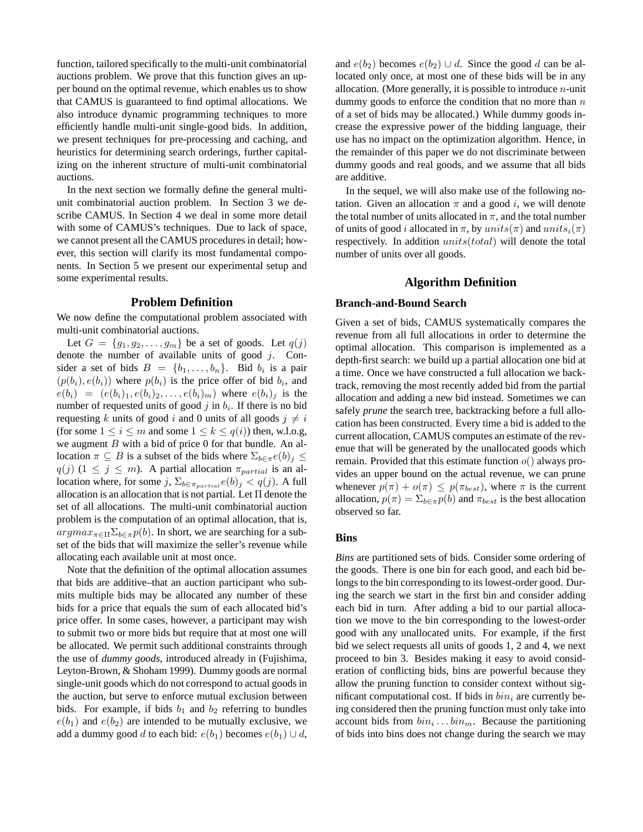function, tailored specifically to the multi-unit combinatorial auctions problem. We prove that this function gives an upper bound on the optimal revenue, which enables us to show that CAMUS is guaranteed to find optimal allocations. We also introduce dynamic programming techniques to more efficiently handle multi-unit single-good bids. In addition, we present techniques for pre-processing and caching, and heuristics for determining search orderings, further capitalizing on the inherent structure of multi-unit combinatorial auctions.

In the next section we formally define the general multiunit combinatorial auction problem. In Section 3 we describe CAMUS. In Section 4 we deal in some more detail with some of CAMUS's techniques. Due to lack of space, we cannot present all the CAMUS procedures in detail; however, this section will clarify its most fundamental components. In Section 5 we present our experimental setup and some experimental results.

### **Problem Definition**

We now define the computational problem associated with multi-unit combinatorial auctions.

Let  $G = \{g_1, g_2, \ldots, g_m\}$  be a set of goods. Let  $q(j)$ denote the number of available units of good  $j$ . Consider a set of bids  $B = \{b_1, \ldots, b_n\}$ . Bid  $b_i$  is a pair  $(p(b_i), e(b_i))$  where  $p(b_i)$  is the price offer of bid  $b_i$ , and  $e(b_i) = (e(b_i)_1, e(b_i)_2, \ldots, e(b_i)_m)$  where  $e(b_i)_i$  is the number of requested units of good  $j$  in  $b_i$ . If there is no bid requesting k units of good i and 0 units of all goods  $j \neq i$ (for some  $1 \le i \le m$  and some  $1 \le k \le q(i)$ ) then, w.l.o.g, we augment  $B$  with a bid of price 0 for that bundle. An allocation  $\pi \subseteq B$  is a subset of the bids where  $\Sigma_{b \in \pi} e(b)_i \leq$  $q(j)$  (1  $\leq j \leq m$ ). A partial allocation  $\pi_{partial}$  is an allocation where, for some j,  $\Sigma_{b \in \pi_{partial}} e(b)_j < q(j)$ . A full allocation is an allocation that is not partial. Let  $\Pi$  denote the set of all allocations. The multi-unit combinatorial auction problem is the computation of an optimal allocation, that is,  $argmax_{\pi \in \Pi} \sum_{b \in \pi} p(b)$ . In short, we are searching for a subset of the bids that will maximize the seller's revenue while allocating each available unit at most once.

Note that the definition of the optimal allocation assumes that bids are additive–that an auction participant who submits multiple bids may be allocated any number of these bids for a price that equals the sum of each allocated bid's price offer. In some cases, however, a participant may wish to submit two or more bids but require that at most one will be allocated. We permit such additional constraints through the use of *dummy goods*, introduced already in (Fujishima, Leyton-Brown, & Shoham 1999). Dummy goods are normal single-unit goods which do not correspond to actual goods in the auction, but serve to enforce mutual exclusion between bids. For example, if bids  $b_1$  and  $b_2$  referring to bundles  $e(b_1)$  and  $e(b_2)$  are intended to be mutually exclusive, we add a dummy good d to each bid:  $e(b_1)$  becomes  $e(b_1) \cup d$ , and  $e(b_2)$  becomes  $e(b_2) \cup d$ . Since the good d can be allocated only once, at most one of these bids will be in any allocation. (More generally, it is possible to introduce  $n$ -unit dummy goods to enforce the condition that no more than  $n$ of a set of bids may be allocated.) While dummy goods increase the expressive power of the bidding language, their use has no impact on the optimization algorithm. Hence, in the remainder of this paper we do not discriminate between dummy goods and real goods, and we assume that all bids are additive.

In the sequel, we will also make use of the following notation. Given an allocation  $\pi$  and a good i, we will denote the total number of units allocated in  $\pi$ , and the total number of units of good i allocated in  $\pi$ , by  $units(\pi)$  and  $units_i(\pi)$ respectively. In addition *units*(*total*) will denote the total number of units over all goods.

## **Algorithm Definition**

### **Branch-and-Bound Search**

Given a set of bids, CAMUS systematically compares the revenue from all full allocations in order to determine the optimal allocation. This comparison is implemented as a depth-first search: we build up a partial allocation one bid at a time. Once we have constructed a full allocation we backtrack, removing the most recently added bid from the partial allocation and adding a new bid instead. Sometimes we can safely *prune* the search tree, backtracking before a full allocation has been constructed. Every time a bid is added to the current allocation, CAMUS computes an estimate of the revenue that will be generated by the unallocated goods which remain. Provided that this estimate function  $o()$  always provides an upper bound on the actual revenue, we can prune whenever  $p(\pi) + o(\pi) \leq p(\pi_{best})$ , where  $\pi$  is the current allocation,  $p(\pi) = \sum_{b \in \pi} p(b)$  and  $\pi_{best}$  is the best allocation observed so far.

### **Bins**

*Bins* are partitioned sets of bids. Consider some ordering of the goods. There is one bin for each good, and each bid belongs to the bin corresponding to its lowest-order good. During the search we start in the first bin and consider adding each bid in turn. After adding a bid to our partial allocation we move to the bin corresponding to the lowest-order good with any unallocated units. For example, if the first bid we select requests all units of goods 1, 2 and 4, we next proceed to bin 3. Besides making it easy to avoid consideration of conflicting bids, bins are powerful because they allow the pruning function to consider context without significant computational cost. If bids in  $bin_i$  are currently being considered then the pruning function must only take into account bids from  $bin_i \dots bin_m$ . Because the partitioning of bids into bins does not change during the search we may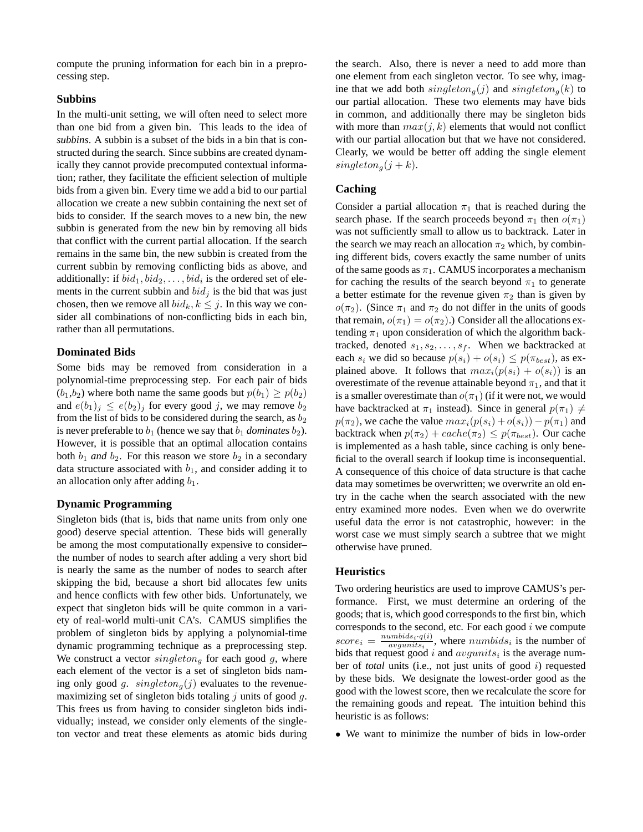compute the pruning information for each bin in a preprocessing step.

## **Subbins**

In the multi-unit setting, we will often need to select more than one bid from a given bin. This leads to the idea of *subbins*. A subbin is a subset of the bids in a bin that is constructed during the search. Since subbins are created dynamically they cannot provide precomputed contextual information; rather, they facilitate the efficient selection of multiple bids from a given bin. Every time we add a bid to our partial allocation we create a new subbin containing the next set of bids to consider. If the search moves to a new bin, the new subbin is generated from the new bin by removing all bids that conflict with the current partial allocation. If the search remains in the same bin, the new subbin is created from the current subbin by removing conflicting bids as above, and additionally: if  $bid_1, bid_2, \ldots, bid_i$  is the ordered set of elements in the current subbin and  $bid_j$  is the bid that was just chosen, then we remove all  $bid_k, k \leq j$ . In this way we consider all combinations of non-conflicting bids in each bin, rather than all permutations.

## **Dominated Bids**

Some bids may be removed from consideration in a polynomial-time preprocessing step. For each pair of bids  $(b_1,b_2)$  where both name the same goods but  $p(b_1) \geq p(b_2)$ and  $e(b_1)_j \leq e(b_2)_j$  for every good j, we may remove  $b_2$ from the list of bids to be considered during the search, as  $b_2$ is never preferable to  $b_1$  (hence we say that  $b_1$  *dominates*  $b_2$ ). However, it is possible that an optimal allocation contains both  $b_1$  *and*  $b_2$ . For this reason we store  $b_2$  in a secondary data structure associated with  $b_1$ , and consider adding it to an allocation only after adding  $b_1$ .

### **Dynamic Programming**

Singleton bids (that is, bids that name units from only one good) deserve special attention. These bids will generally be among the most computationally expensive to consider– the number of nodes to search after adding a very short bid is nearly the same as the number of nodes to search after skipping the bid, because a short bid allocates few units and hence conflicts with few other bids. Unfortunately, we expect that singleton bids will be quite common in a variety of real-world multi-unit CA's. CAMUS simplifies the problem of singleton bids by applying a polynomial-time dynamic programming technique as a preprocessing step. We construct a vector  $singleton<sub>q</sub>$  for each good g, where each element of the vector is a set of singleton bids naming only good g.  $singleton_{q}(j)$  evaluates to the revenuemaximizing set of singleton bids totaling  $j$  units of good  $q$ . This frees us from having to consider singleton bids individually; instead, we consider only elements of the singleton vector and treat these elements as atomic bids during

the search. Also, there is never a need to add more than one element from each singleton vector. To see why, imagine that we add both  $singleton_{a}(j)$  and  $singleton_{a}(k)$  to our partial allocation. These two elements may have bids in common, and additionally there may be singleton bids with more than  $max(j, k)$  elements that would not conflict with our partial allocation but that we have not considered. Clearly, we would be better off adding the single element  $singleton_{a}(j + k).$ 

## **Caching**

Consider a partial allocation  $\pi_1$  that is reached during the search phase. If the search proceeds beyond  $\pi_1$  then  $o(\pi_1)$ was not sufficiently small to allow us to backtrack. Later in the search we may reach an allocation  $\pi_2$  which, by combining different bids, covers exactly the same number of units of the same goods as  $\pi_1$ . CAMUS incorporates a mechanism for caching the results of the search beyond  $\pi_1$  to generate a better estimate for the revenue given  $\pi_2$  than is given by  $o(\pi_2)$ . (Since  $\pi_1$  and  $\pi_2$  do not differ in the units of goods that remain,  $o(\pi_1) = o(\pi_2)$ .) Consider all the allocations extending  $\pi_1$  upon consideration of which the algorithm backtracked, denoted  $s_1, s_2, \ldots, s_f$ . When we backtracked at each  $s_i$  we did so because  $p(s_i) + o(s_i) \leq p(\pi_{best})$ , as explained above. It follows that  $max_i(p(s_i) + o(s_i))$  is an overestimate of the revenue attainable beyond  $\pi_1$ , and that it is a smaller overestimate than  $o(\pi_1)$  (if it were not, we would have backtracked at  $\pi_1$  instead). Since in general  $p(\pi_1) \neq$  $p(\pi_2)$ , we cache the value  $max_i(p(s_i) + o(s_i)) - p(\pi_1)$  and backtrack when  $p(\pi_2) + cache(\pi_2) \leq p(\pi_{best})$ . Our cache is implemented as a hash table, since caching is only beneficial to the overall search if lookup time is inconsequential. A consequence of this choice of data structure is that cache data may sometimes be overwritten; we overwrite an old entry in the cache when the search associated with the new entry examined more nodes. Even when we do overwrite useful data the error is not catastrophic, however: in the worst case we must simply search a subtree that we might otherwise have pruned.

### **Heuristics**

Two ordering heuristics are used to improve CAMUS's performance. First, we must determine an ordering of the goods; that is, which good corresponds to the first bin, which corresponds to the second, etc. For each good  $i$  we compute  $score_i = \frac{number_i q(i)}{avgunits_i}$ , where numbids<sub>i</sub> is the number of bids that request good i and  $avgunits<sub>i</sub>$  is the average number of *total* units (i.e., not just units of good i) requested by these bids. We designate the lowest-order good as the good with the lowest score, then we recalculate the score for the remaining goods and repeat. The intuition behind this heuristic is as follows:

• We want to minimize the number of bids in low-order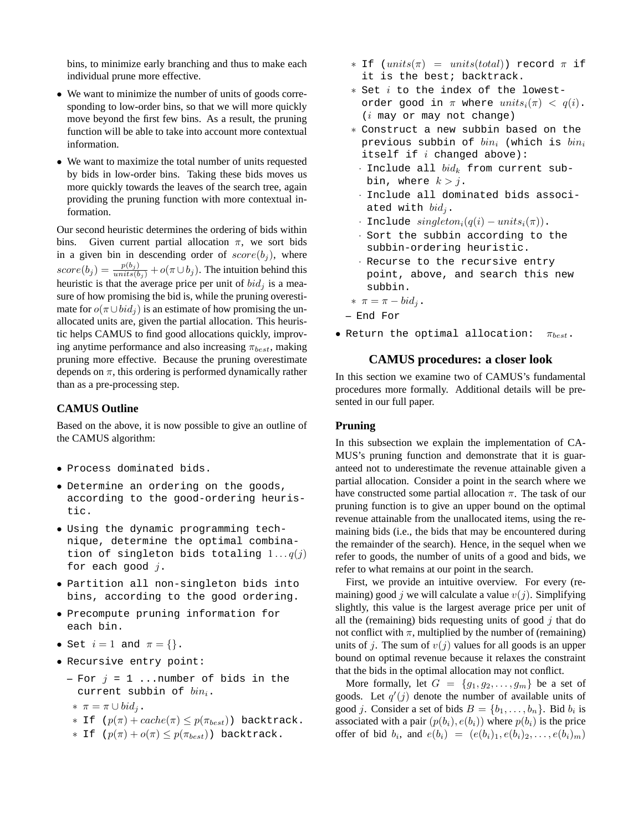bins, to minimize early branching and thus to make each individual prune more effective.

- We want to minimize the number of units of goods corresponding to low-order bins, so that we will more quickly move beyond the first few bins. As a result, the pruning function will be able to take into account more contextual information.
- We want to maximize the total number of units requested by bids in low-order bins. Taking these bids moves us more quickly towards the leaves of the search tree, again providing the pruning function with more contextual information.

Our second heuristic determines the ordering of bids within bins. Given current partial allocation  $\pi$ , we sort bids in a given bin in descending order of  $score(b_i)$ , where  $score(b_j) = \frac{p(b_j)}{units(b_j)} + o(\pi \cup b_j)$ . The intuition behind this heuristic is that the average price per unit of  $bid<sub>j</sub>$  is a measure of how promising the bid is, while the pruning overestimate for  $o(\pi \cup bid_i)$  is an estimate of how promising the unallocated units are, given the partial allocation. This heuristic helps CAMUS to find good allocations quickly, improving anytime performance and also increasing  $\pi_{best}$ , making pruning more effective. Because the pruning overestimate depends on  $\pi$ , this ordering is performed dynamically rather than as a pre-processing step.

## **CAMUS Outline**

Based on the above, it is now possible to give an outline of the CAMUS algorithm:

- Process dominated bids.
- Determine an ordering on the goods, according to the good-ordering heuristic.
- Using the dynamic programming technique, determine the optimal combination of singleton bids totaling  $1 \dots q(j)$ for each good  $j$ .
- Partition all non-singleton bids into bins, according to the good ordering.
- Precompute pruning information for each bin.
- Set  $i = 1$  and  $\pi = \{\}.$
- Recursive entry point:
	- **–** For j = 1 ...number of bids in the current subbin of  $bin_i$ .
	- \*  $\pi = \pi \cup bid_i$ .
	- ∗ If (p(π) + cache(π) ≤ p(πbest)) backtrack.
	- $∗$  If  $(p(\pi) + o(\pi) \leq p(\pi_{best}))$  backtrack.
- ∗ If (units(π) = units(total)) record π if it is the best; backtrack.
- ∗ Set i to the index of the lowestorder good in  $\pi$  where  $units_i(\pi) < q(i)$ . (i may or may not change)
- ∗ Construct a new subbin based on the previous subbin of  $bin_i$  (which is  $bin_i$ itself if  $i$  changed above):
	- · Include all  $bid_k$  from current subbin, where  $k > j$ .
- · Include all dominated bids associated with  $bid<sub>j</sub>$ .
- · Include  $singleton_i(q(i) units_i(\pi))$ .
- · Sort the subbin according to the subbin-ordering heuristic.
- · Recurse to the recursive entry point, above, and search this new subbin.
- \*  $\pi = \pi bid_i$ .
- **–** End For
- Return the optimal allocation:  $\pi_{best}$ .

### **CAMUS procedures: a closer look**

In this section we examine two of CAMUS's fundamental procedures more formally. Additional details will be presented in our full paper.

### **Pruning**

In this subsection we explain the implementation of CA-MUS's pruning function and demonstrate that it is guaranteed not to underestimate the revenue attainable given a partial allocation. Consider a point in the search where we have constructed some partial allocation  $\pi$ . The task of our pruning function is to give an upper bound on the optimal revenue attainable from the unallocated items, using the remaining bids (i.e., the bids that may be encountered during the remainder of the search). Hence, in the sequel when we refer to goods, the number of units of a good and bids, we refer to what remains at our point in the search.

First, we provide an intuitive overview. For every (remaining) good j we will calculate a value  $v(j)$ . Simplifying slightly, this value is the largest average price per unit of all the (remaining) bids requesting units of good  $\dot{\jmath}$  that do not conflict with  $\pi$ , multiplied by the number of (remaining) units of j. The sum of  $v(j)$  values for all goods is an upper bound on optimal revenue because it relaxes the constraint that the bids in the optimal allocation may not conflict.

More formally, let  $G = \{g_1, g_2, \ldots, g_m\}$  be a set of goods. Let  $q'(j)$  denote the number of available units of good *j*. Consider a set of bids  $B = \{b_1, \ldots, b_n\}$ . Bid  $b_i$  is associated with a pair  $(p(b_i), e(b_i))$  where  $p(b_i)$  is the price offer of bid  $b_i$ , and  $e(b_i) = (e(b_i)_1, e(b_i)_2, \ldots, e(b_i)_m)$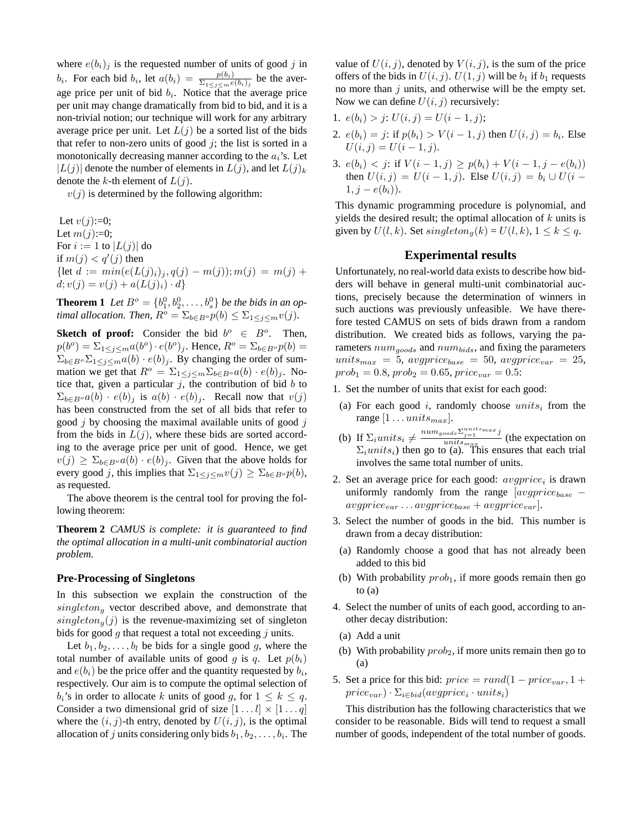where  $e(b_i)_j$  is the requested number of units of good j in  $b_i$ . For each bid  $b_i$ , let  $a(b_i) = \frac{p(b_i)}{\sum_{1 \leq j \leq m} e(b_i)_j}$  be the average price per unit of bid  $b_i$ . Notice that the average price per unit may change dramatically from bid to bid, and it is a non-trivial notion; our technique will work for any arbitrary average price per unit. Let  $L(j)$  be a sorted list of the bids that refer to non-zero units of good  $j$ ; the list is sorted in a monotonically decreasing manner according to the  $a_i$ 's. Let  $|L(j)|$  denote the number of elements in  $L(j)$ , and let  $L(j)_k$ denote the k-th element of  $L(i)$ .

 $v(j)$  is determined by the following algorithm:

Let  $v(j):=0;$ Let  $m(j):=0;$ For  $i := 1$  to  $|L(j)|$  do if  $m(j) < q'(j)$  then {let  $d := min(e(L(j)_i)_j, q(j) - m(j)); m(j) = m(j) +$  $d; v(j) = v(j) + a(L(j)_i) \cdot d$ 

**Theorem 1** *Let*  $B^{\circ} = \{b_1^0, b_2^0, \dots, b_s^0\}$  *be the bids in an optimal allocation. Then,*  $R^o = \sum_{b \in B^o} p(b) \leq \sum_{1 \leq j \leq m} v(j)$ .

**Sketch of proof:** Consider the bid  $b^{\circ} \in B^{\circ}$ . Then,  $p(b^o) = \sum_{1 \leq j \leq m} a(b^o) \cdot e(b^o)_j$ . Hence,  $R^o = \sum_{b \in B^o} p(b) =$  $\sum_{b \in B^o} \sum_{1 \le j \le m} a(b) \cdot e(b)_j$ . By changing the order of summation we get that  $R^{\circ} = \sum_{1 \leq j \leq m} \sum_{b \in B^{\circ}} a(b) \cdot e(b)_{j}$ . Notice that, given a particular  $j$ , the contribution of bid  $b$  to  $\Sigma_{b \in B} \circ a(b) \cdot e(b)_j$  is  $a(b) \cdot e(b)_j$ . Recall now that  $v(j)$ has been constructed from the set of all bids that refer to good  $j$  by choosing the maximal available units of good  $j$ from the bids in  $L(j)$ , where these bids are sorted according to the average price per unit of good. Hence, we get  $v(j) \geq \sum_{b \in B} a(b) \cdot e(b)$ . Given that the above holds for every good j, this implies that  $\Sigma_{1\leq j\leq m}v(j)\geq \Sigma_{b\in B^{\circ}}p(b)$ , as requested.

The above theorem is the central tool for proving the following theorem:

**Theorem 2** *CAMUS is complete: it is guaranteed to find the optimal allocation in a multi-unit combinatorial auction problem.*

### **Pre-Processing of Singletons**

In this subsection we explain the construction of the  $singleton_q$  vector described above, and demonstrate that  $singleton_{q}(j)$  is the revenue-maximizing set of singleton bids for good  $g$  that request a total not exceeding  $j$  units.

Let  $b_1, b_2, \ldots, b_l$  be bids for a single good g, where the total number of available units of good g is q. Let  $p(b_i)$ and  $e(b_i)$  be the price offer and the quantity requested by  $b_i$ , respectively. Our aim is to compute the optimal selection of  $b_i$ 's in order to allocate k units of good q, for  $1 \leq k \leq q$ . Consider a two dimensional grid of size  $[1 \dots l] \times [1 \dots q]$ where the  $(i, j)$ -th entry, denoted by  $U(i, j)$ , is the optimal allocation of j units considering only bids  $b_1, b_2, \ldots, b_i$ . The

value of  $U(i, j)$ , denoted by  $V(i, j)$ , is the sum of the price offers of the bids in  $U(i, j)$ .  $U(1, j)$  will be  $b_1$  if  $b_1$  requests no more than  $j$  units, and otherwise will be the empty set. Now we can define  $U(i, j)$  recursively:

- 1.  $e(b_i) > j$ :  $U(i, j) = U(i 1, j)$ ;
- 2.  $e(b_i) = j$ : if  $p(b_i) > V(i 1, j)$  then  $U(i, j) = b_i$ . Else  $U(i, j) = U(i - 1, j).$
- 3.  $e(b_i) < j$ : if  $V(i-1, j) > p(b_i) + V(i-1, j e(b_i))$ then  $U(i, j) = U(i - 1, j)$ . Else  $U(i, j) = b_i \cup U(i - 1)$  $1, j - e(b_i)$ ).

This dynamic programming procedure is polynomial, and yields the desired result; the optimal allocation of  $k$  units is given by  $U(l, k)$ . Set  $singleton_q(k) = U(l, k)$ ,  $1 \le k \le q$ .

### **Experimental results**

Unfortunately, no real-world data exists to describe how bidders will behave in general multi-unit combinatorial auctions, precisely because the determination of winners in such auctions was previously unfeasible. We have therefore tested CAMUS on sets of bids drawn from a random distribution. We created bids as follows, varying the parameters  $num_{goods}$  and  $num_{bids}$ , and fixing the parameters  $units_{max} = 5$ ,  $avgprice_{base} = 50$ ,  $avgprice_{var} = 25$ ,  $prob_1 = 0.8, prob_2 = 0.65, price_{var} = 0.5$ :

- 1. Set the number of units that exist for each good:
- (a) For each good i, randomly choose  $units_i$  from the range  $[1 \dots units_{max}]$ .
- (b) If  $\Sigma_i$ units<sub>i</sub>  $\neq \frac{num_{goods} \Sigma_{j=1}^{units_{max}} j}{units_{max}}$ unitsmax (the expectation on  $\Sigma_i$ *units<sub>i</sub>*) then go to (a). This ensures that each trial involves the same total number of units.
- 2. Set an average price for each good:  $\frac{avgprice_i}{%sum}$  is drawn uniformly randomly from the range  $[avgprice_{base}$  –  $\mathit{avgprice}_{\mathit{var}} \ldots \mathit{avgprice}_{\mathit{base}} + \mathit{avgprice}_{\mathit{var}}$ .
- 3. Select the number of goods in the bid. This number is drawn from a decay distribution:
- (a) Randomly choose a good that has not already been added to this bid
- (b) With probability  $prob_1$ , if more goods remain then go to (a)
- 4. Select the number of units of each good, according to another decay distribution:
	- (a) Add a unit
	- (b) With probability  $prob_2$ , if more units remain then go to (a)
- 5. Set a price for this bid:  $price = rand(1 price_{var}, 1 +$  $price_{var}) \cdot \Sigma_{i \in bid}(avgprice_i \cdot units_i)$

This distribution has the following characteristics that we consider to be reasonable. Bids will tend to request a small number of goods, independent of the total number of goods.